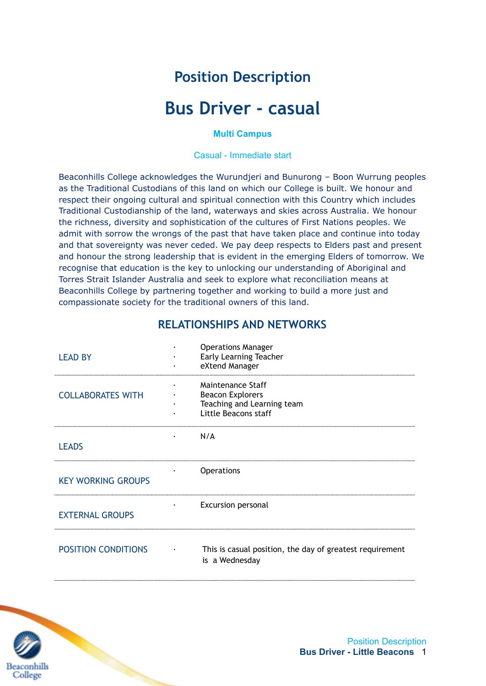# **Position Description**

# **Bus Driver - casual**

#### **Multi Campus**

Casual - Immediate start

Beaconhills College acknowledges the Wurundjeri and Bunurong – Boon Wurrung peoples as the Traditional Custodians of this land on which our College is built. We honour and respect their ongoing cultural and spiritual connection with this Country which includes Traditional Custodianship of the land, waterways and skies across Australia. We honour the richness, diversity and sophistication of the cultures of First Nations peoples. We admit with sorrow the wrongs of the past that have taken place and continue into today and that sovereignty was never ceded. We pay deep respects to Elders past and present and honour the strong leadership that is evident in the emerging Elders of tomorrow. We recognise that education is the key to unlocking our understanding of Aboriginal and Torres Strait Islander Australia and seek to explore what reconciliation means at Beaconhills College by partnering together and working to build a more just and compassionate society for the traditional owners of this land.

| <b>LEAD BY</b>             | <b>Operations Manager</b><br><b>Early Learning Teacher</b><br>eXtend Manager                       |
|----------------------------|----------------------------------------------------------------------------------------------------|
| <b>COLLABORATES WITH</b>   | Maintenance Staff<br><b>Beacon Explorers</b><br>Teaching and Learning team<br>Little Beacons staff |
| <b>LEADS</b>               | N/A                                                                                                |
| <b>KEY WORKING GROUPS</b>  | <b>Operations</b>                                                                                  |
| <b>EXTERNAL GROUPS</b>     | <b>Excursion personal</b>                                                                          |
| <b>POSITION CONDITIONS</b> | This is casual position, the day of greatest requirement<br>is a Wednesday                         |

### **RELATIONSHIPS AND NETWORKS**

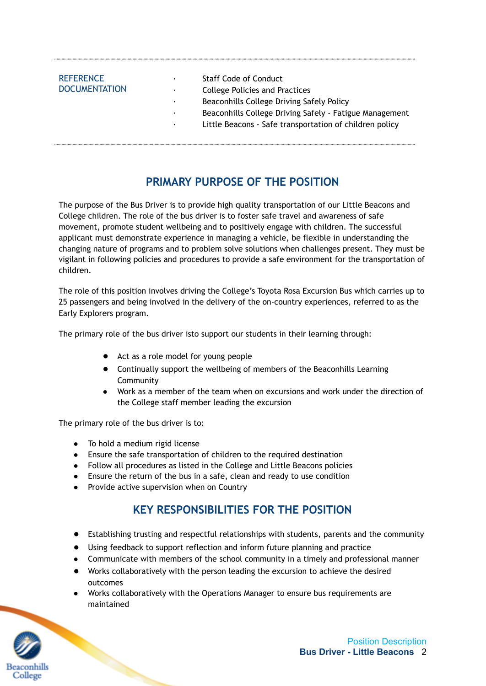| <b>REFERENCE</b><br><b>DOCUMENTATION</b> | ٠<br>٠.<br>٠<br>٠<br>٠ | <b>Staff Code of Conduct</b><br>College Policies and Practices<br>Beaconhills College Driving Safely Policy<br>Beaconhills College Driving Safely - Fatigue Management<br>Little Beacons - Safe transportation of children policy |
|------------------------------------------|------------------------|-----------------------------------------------------------------------------------------------------------------------------------------------------------------------------------------------------------------------------------|
|                                          |                        |                                                                                                                                                                                                                                   |

# **PRIMARY PURPOSE OF THE POSITION**

The purpose of the Bus Driver is to provide high quality transportation of our Little Beacons and College children. The role of the bus driver is to foster safe travel and awareness of safe movement, promote student wellbeing and to positively engage with children. The successful applicant must demonstrate experience in managing a vehicle, be flexible in understanding the changing nature of programs and to problem solve solutions when challenges present. They must be vigilant in following policies and procedures to provide a safe environment for the transportation of children.

The role of this position involves driving the College's Toyota Rosa Excursion Bus which carries up to 25 passengers and being involved in the delivery of the on-country experiences, referred to as the Early Explorers program.

The primary role of the bus driver isto support our students in their learning through:

- Act as a role model for young people
- Continually support the wellbeing of members of the Beaconhills Learning **Community**
- Work as a member of the team when on excursions and work under the direction of the College staff member leading the excursion

The primary role of the bus driver is to:

- To hold a medium rigid license
- Ensure the safe transportation of children to the required destination
- Follow all procedures as listed in the College and Little Beacons policies
- Ensure the return of the bus in a safe, clean and ready to use condition
- Provide active supervision when on Country

# **KEY RESPONSIBILITIES FOR THE POSITION**

- Establishing trusting and respectful relationships with students, parents and the community
- Using feedback to support reflection and inform future planning and practice
- Communicate with members of the school community in a timely and professional manner
- Works collaboratively with the person leading the excursion to achieve the desired outcomes
- Works collaboratively with the Operations Manager to ensure bus requirements are maintained

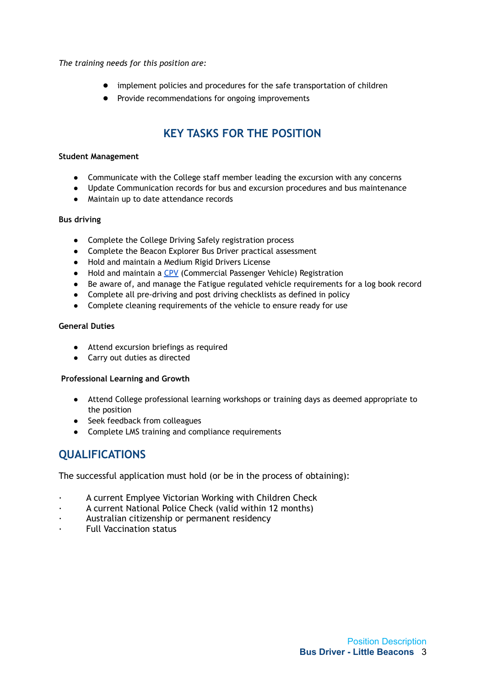*The training needs for this position are:*

- implement policies and procedures for the safe transportation of children
- Provide recommendations for ongoing improvements

# **KEY TASKS FOR THE POSITION**

#### **Student Management**

- Communicate with the College staff member leading the excursion with any concerns
- Update Communication records for bus and excursion procedures and bus maintenance
- Maintain up to date attendance records

#### **Bus driving**

- Complete the College Driving Safely registration process
- Complete the Beacon Explorer Bus Driver practical assessment
- Hold and maintain a Medium Rigid Drivers License
- Hold and maintain a [CPV](https://cpv.vic.gov.au/drivers/commercial-passenger-vehicle-and-bus-driver-accreditation) (Commercial Passenger Vehicle) Registration
- Be aware of, and manage the Fatigue regulated vehicle requirements for a log book record
- Complete all pre-driving and post driving checklists as defined in policy
- Complete cleaning requirements of the vehicle to ensure ready for use

#### **General Duties**

- Attend excursion briefings as required
- Carry out duties as directed

#### **Professional Learning and Growth**

- Attend College professional learning workshops or training days as deemed appropriate to the position
- Seek feedback from colleagues
- Complete LMS training and compliance requirements

## **QUALIFICATIONS**

The successful application must hold (or be in the process of obtaining):

- · A current Emplyee Victorian Working with Children Check
- A current National Police Check (valid within 12 months)
- Australian citizenship or permanent residency
- Full Vaccination status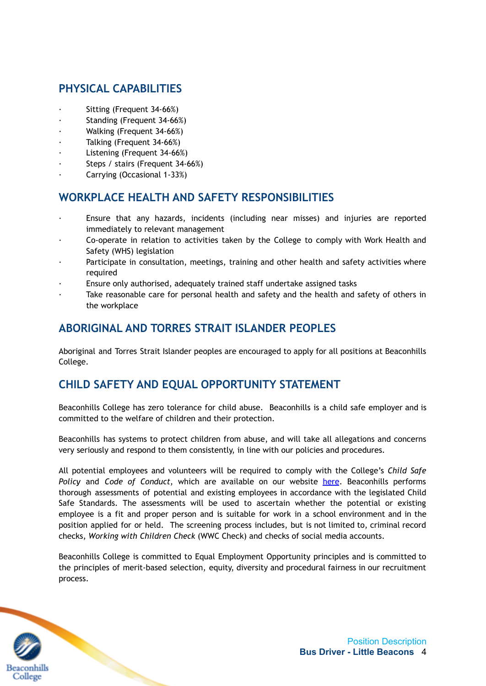# **PHYSICAL CAPABILITIES**

- Sitting (Frequent 34-66%)
- Standing (Frequent 34-66%)
- · Walking (Frequent 34-66%)
- Talking (Frequent 34-66%)
- Listening (Frequent 34-66%)
- Steps / stairs (Frequent 34-66%)
- · Carrying (Occasional 1-33%)

### **WORKPLACE HEALTH AND SAFETY RESPONSIBILITIES**

- Ensure that any hazards, incidents (including near misses) and injuries are reported immediately to relevant management
- · Co-operate in relation to activities taken by the College to comply with Work Health and Safety (WHS) legislation
- Participate in consultation, meetings, training and other health and safety activities where required
- Ensure only authorised, adequately trained staff undertake assigned tasks
- Take reasonable care for personal health and safety and the health and safety of others in the workplace

### **ABORIGINAL AND TORRES STRAIT ISLANDER PEOPLES**

Aboriginal and Torres Strait Islander peoples are encouraged to apply for all positions at Beaconhills College.

### **CHILD SAFETY AND EQUAL OPPORTUNITY STATEMENT**

Beaconhills College has zero tolerance for child abuse. Beaconhills is a child safe employer and is committed to the welfare of children and their protection.

Beaconhills has systems to protect children from abuse, and will take all allegations and concerns very seriously and respond to them consistently, in line with our policies and procedures.

All potential employees and volunteers will be required to comply with the College's *Child Safe Policy* and *Code of Conduct*, which are available on our website [here](https://www.beaconhills.vic.edu.au/policies/). Beaconhills performs thorough assessments of potential and existing employees in accordance with the legislated Child Safe Standards. The assessments will be used to ascertain whether the potential or existing employee is a fit and proper person and is suitable for work in a school environment and in the position applied for or held. The screening process includes, but is not limited to, criminal record checks, *Working with Children Check* (WWC Check) and checks of social media accounts.

Beaconhills College is committed to Equal Employment Opportunity principles and is committed to the principles of merit-based selection, equity, diversity and procedural fairness in our recruitment process.